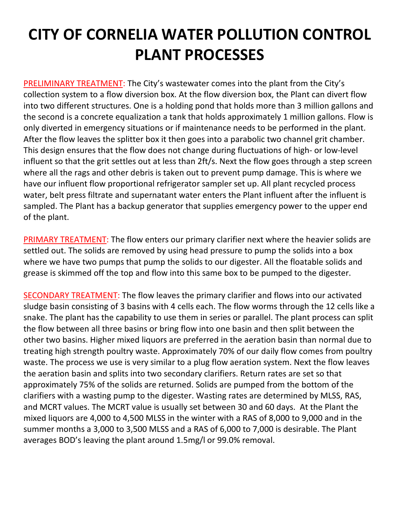## **CITY OF CORNELIA WATER POLLUTION CONTROL PLANT PROCESSES**

PRELIMINARY TREATMENT: The City's wastewater comes into the plant from the City's collection system to a flow diversion box. At the flow diversion box, the Plant can divert flow into two different structures. One is a holding pond that holds more than 3 million gallons and the second is a concrete equalization a tank that holds approximately 1 million gallons. Flow is only diverted in emergency situations or if maintenance needs to be performed in the plant. After the flow leaves the splitter box it then goes into a parabolic two channel grit chamber. This design ensures that the flow does not change during fluctuations of high- or low-level influent so that the grit settles out at less than 2ft/s. Next the flow goes through a step screen where all the rags and other debris is taken out to prevent pump damage. This is where we have our influent flow proportional refrigerator sampler set up. All plant recycled process water, belt press filtrate and supernatant water enters the Plant influent after the influent is sampled. The Plant has a backup generator that supplies emergency power to the upper end of the plant.

PRIMARY TREATMENT: The flow enters our primary clarifier next where the heavier solids are settled out. The solids are removed by using head pressure to pump the solids into a box where we have two pumps that pump the solids to our digester. All the floatable solids and grease is skimmed off the top and flow into this same box to be pumped to the digester.

SECONDARY TREATMENT: The flow leaves the primary clarifier and flows into our activated sludge basin consisting of 3 basins with 4 cells each. The flow worms through the 12 cells like a snake. The plant has the capability to use them in series or parallel. The plant process can split the flow between all three basins or bring flow into one basin and then split between the other two basins. Higher mixed liquors are preferred in the aeration basin than normal due to treating high strength poultry waste. Approximately 70% of our daily flow comes from poultry waste. The process we use is very similar to a plug flow aeration system. Next the flow leaves the aeration basin and splits into two secondary clarifiers. Return rates are set so that approximately 75% of the solids are returned. Solids are pumped from the bottom of the clarifiers with a wasting pump to the digester. Wasting rates are determined by MLSS, RAS, and MCRT values. The MCRT value is usually set between 30 and 60 days. At the Plant the mixed liquors are 4,000 to 4,500 MLSS in the winter with a RAS of 8,000 to 9,000 and in the summer months a 3,000 to 3,500 MLSS and a RAS of 6,000 to 7,000 is desirable. The Plant averages BOD's leaving the plant around 1.5mg/l or 99.0% removal.